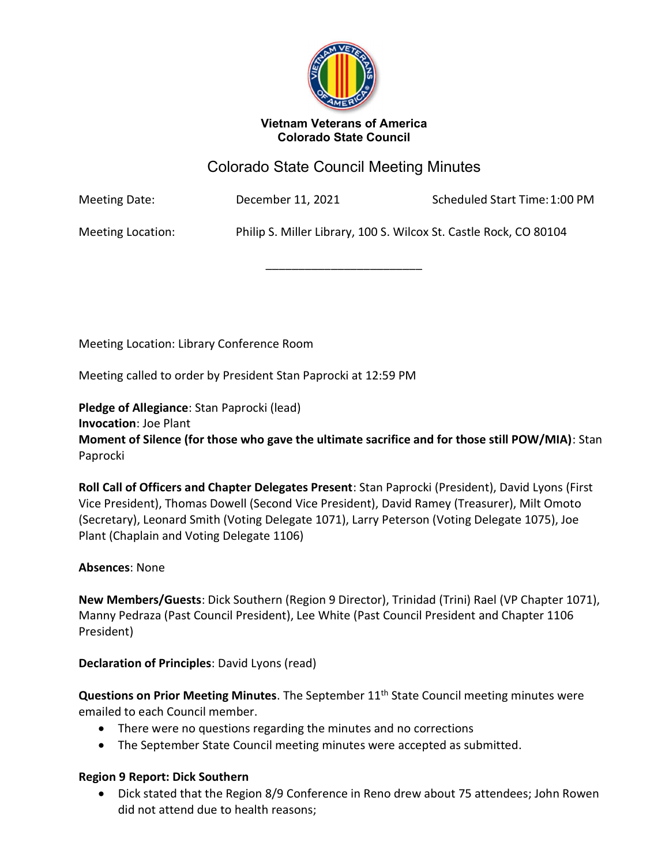

#### Vietnam Veterans of America Colorado State Council

# Colorado State Council Meeting Minutes

\_\_\_\_\_\_\_\_\_\_\_\_\_\_\_\_\_\_\_\_\_\_\_\_

Meeting Date: December 11, 2021 Scheduled Start Time: 1:00 PM

Meeting Location: Philip S. Miller Library, 100 S. Wilcox St. Castle Rock, CO 80104

Meeting Location: Library Conference Room

Meeting called to order by President Stan Paprocki at 12:59 PM

Pledge of Allegiance: Stan Paprocki (lead) Invocation: Joe Plant

Moment of Silence (for those who gave the ultimate sacrifice and for those still POW/MIA): Stan Paprocki

Roll Call of Officers and Chapter Delegates Present: Stan Paprocki (President), David Lyons (First Vice President), Thomas Dowell (Second Vice President), David Ramey (Treasurer), Milt Omoto (Secretary), Leonard Smith (Voting Delegate 1071), Larry Peterson (Voting Delegate 1075), Joe Plant (Chaplain and Voting Delegate 1106)

#### Absences: None

New Members/Guests: Dick Southern (Region 9 Director), Trinidad (Trini) Rael (VP Chapter 1071), Manny Pedraza (Past Council President), Lee White (Past Council President and Chapter 1106 President)

Declaration of Principles: David Lyons (read)

Questions on Prior Meeting Minutes. The September 11<sup>th</sup> State Council meeting minutes were emailed to each Council member.

- There were no questions regarding the minutes and no corrections
- The September State Council meeting minutes were accepted as submitted.

#### Region 9 Report: Dick Southern

 Dick stated that the Region 8/9 Conference in Reno drew about 75 attendees; John Rowen did not attend due to health reasons;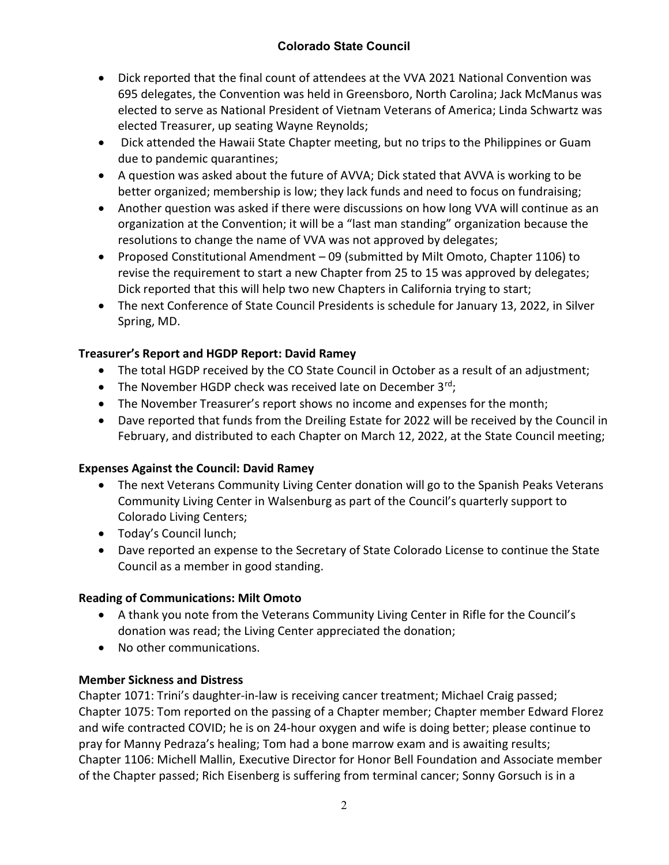## Colorado State Council

- Dick reported that the final count of attendees at the VVA 2021 National Convention was 695 delegates, the Convention was held in Greensboro, North Carolina; Jack McManus was elected to serve as National President of Vietnam Veterans of America; Linda Schwartz was elected Treasurer, up seating Wayne Reynolds;
- Dick attended the Hawaii State Chapter meeting, but no trips to the Philippines or Guam due to pandemic quarantines;
- A question was asked about the future of AVVA; Dick stated that AVVA is working to be better organized; membership is low; they lack funds and need to focus on fundraising;
- Another question was asked if there were discussions on how long VVA will continue as an organization at the Convention; it will be a "last man standing" organization because the resolutions to change the name of VVA was not approved by delegates;
- Proposed Constitutional Amendment 09 (submitted by Milt Omoto, Chapter 1106) to revise the requirement to start a new Chapter from 25 to 15 was approved by delegates; Dick reported that this will help two new Chapters in California trying to start;
- The next Conference of State Council Presidents is schedule for January 13, 2022, in Silver Spring, MD.

## Treasurer's Report and HGDP Report: David Ramey

- The total HGDP received by the CO State Council in October as a result of an adjustment;
- The November HGDP check was received late on December  $3^{rd}$ ;
- The November Treasurer's report shows no income and expenses for the month;
- Dave reported that funds from the Dreiling Estate for 2022 will be received by the Council in February, and distributed to each Chapter on March 12, 2022, at the State Council meeting;

## Expenses Against the Council: David Ramey

- The next Veterans Community Living Center donation will go to the Spanish Peaks Veterans Community Living Center in Walsenburg as part of the Council's quarterly support to Colorado Living Centers;
- Today's Council lunch;
- Dave reported an expense to the Secretary of State Colorado License to continue the State Council as a member in good standing.

## Reading of Communications: Milt Omoto

- A thank you note from the Veterans Community Living Center in Rifle for the Council's donation was read; the Living Center appreciated the donation;
- No other communications.

## Member Sickness and Distress

Chapter 1071: Trini's daughter-in-law is receiving cancer treatment; Michael Craig passed; Chapter 1075: Tom reported on the passing of a Chapter member; Chapter member Edward Florez and wife contracted COVID; he is on 24-hour oxygen and wife is doing better; please continue to pray for Manny Pedraza's healing; Tom had a bone marrow exam and is awaiting results; Chapter 1106: Michell Mallin, Executive Director for Honor Bell Foundation and Associate member of the Chapter passed; Rich Eisenberg is suffering from terminal cancer; Sonny Gorsuch is in a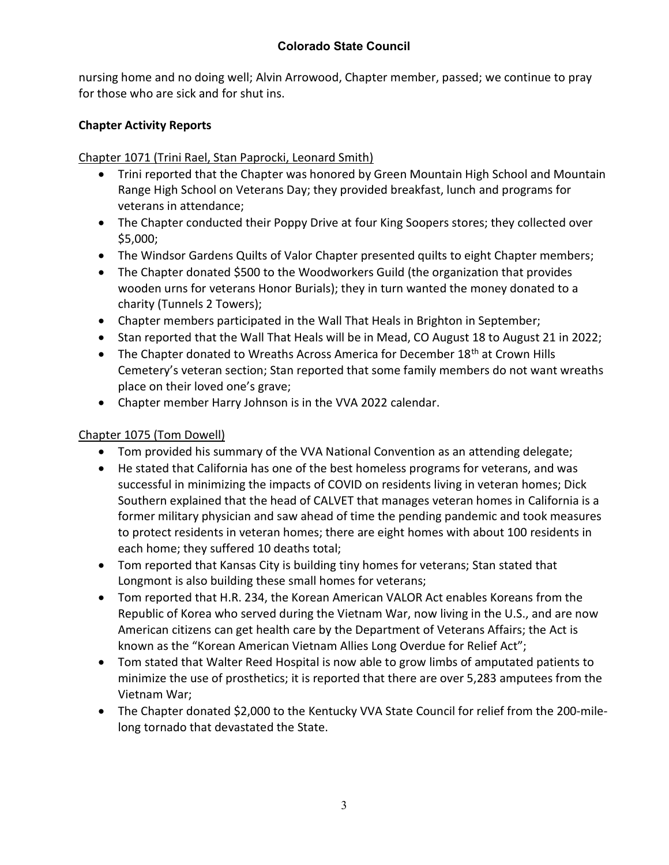nursing home and no doing well; Alvin Arrowood, Chapter member, passed; we continue to pray for those who are sick and for shut ins.

## Chapter Activity Reports

## Chapter 1071 (Trini Rael, Stan Paprocki, Leonard Smith)

- Trini reported that the Chapter was honored by Green Mountain High School and Mountain Range High School on Veterans Day; they provided breakfast, lunch and programs for veterans in attendance;
- The Chapter conducted their Poppy Drive at four King Soopers stores; they collected over \$5,000;
- The Windsor Gardens Quilts of Valor Chapter presented quilts to eight Chapter members;
- The Chapter donated \$500 to the Woodworkers Guild (the organization that provides wooden urns for veterans Honor Burials); they in turn wanted the money donated to a charity (Tunnels 2 Towers);
- Chapter members participated in the Wall That Heals in Brighton in September;
- Stan reported that the Wall That Heals will be in Mead, CO August 18 to August 21 in 2022;
- The Chapter donated to Wreaths Across America for December 18<sup>th</sup> at Crown Hills Cemetery's veteran section; Stan reported that some family members do not want wreaths place on their loved one's grave;
- Chapter member Harry Johnson is in the VVA 2022 calendar.

## Chapter 1075 (Tom Dowell)

- Tom provided his summary of the VVA National Convention as an attending delegate;
- He stated that California has one of the best homeless programs for veterans, and was successful in minimizing the impacts of COVID on residents living in veteran homes; Dick Southern explained that the head of CALVET that manages veteran homes in California is a former military physician and saw ahead of time the pending pandemic and took measures to protect residents in veteran homes; there are eight homes with about 100 residents in each home; they suffered 10 deaths total;
- Tom reported that Kansas City is building tiny homes for veterans; Stan stated that Longmont is also building these small homes for veterans;
- Tom reported that H.R. 234, the Korean American VALOR Act enables Koreans from the Republic of Korea who served during the Vietnam War, now living in the U.S., and are now American citizens can get health care by the Department of Veterans Affairs; the Act is known as the "Korean American Vietnam Allies Long Overdue for Relief Act";
- Tom stated that Walter Reed Hospital is now able to grow limbs of amputated patients to minimize the use of prosthetics; it is reported that there are over 5,283 amputees from the Vietnam War;
- The Chapter donated \$2,000 to the Kentucky VVA State Council for relief from the 200-milelong tornado that devastated the State.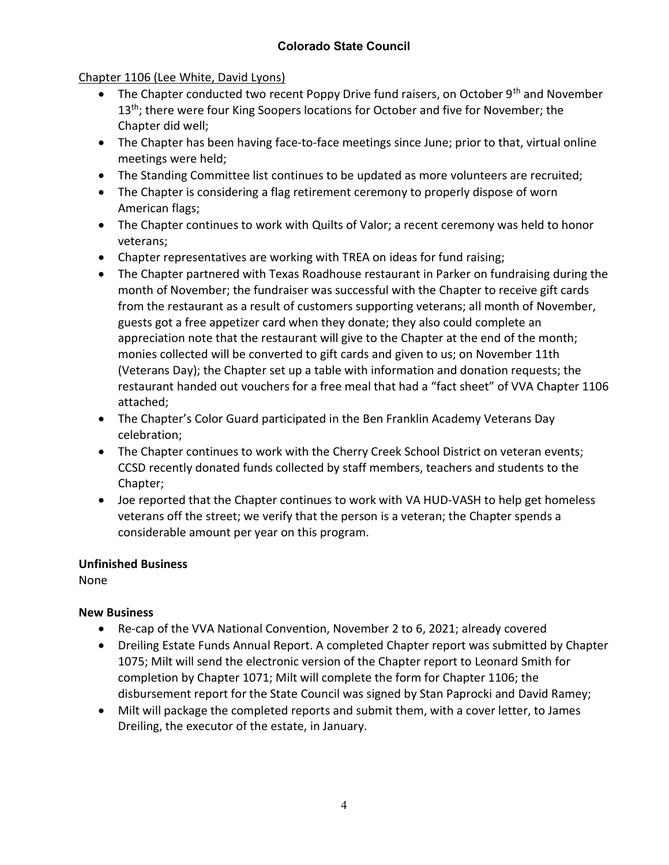## Chapter 1106 (Lee White, David Lyons)

- The Chapter conducted two recent Poppy Drive fund raisers, on October  $9<sup>th</sup>$  and November 13<sup>th</sup>; there were four King Soopers locations for October and five for November; the Chapter did well;
- The Chapter has been having face-to-face meetings since June; prior to that, virtual online meetings were held;
- The Standing Committee list continues to be updated as more volunteers are recruited;
- The Chapter is considering a flag retirement ceremony to properly dispose of worn American flags;
- The Chapter continues to work with Quilts of Valor; a recent ceremony was held to honor veterans;
- Chapter representatives are working with TREA on ideas for fund raising;
- The Chapter partnered with Texas Roadhouse restaurant in Parker on fundraising during the month of November; the fundraiser was successful with the Chapter to receive gift cards from the restaurant as a result of customers supporting veterans; all month of November, guests got a free appetizer card when they donate; they also could complete an appreciation note that the restaurant will give to the Chapter at the end of the month; monies collected will be converted to gift cards and given to us; on November 11th (Veterans Day); the Chapter set up a table with information and donation requests; the restaurant handed out vouchers for a free meal that had a "fact sheet" of VVA Chapter 1106 attached;
- The Chapter's Color Guard participated in the Ben Franklin Academy Veterans Day celebration;
- The Chapter continues to work with the Cherry Creek School District on veteran events; CCSD recently donated funds collected by staff members, teachers and students to the Chapter;
- Joe reported that the Chapter continues to work with VA HUD-VASH to help get homeless veterans off the street; we verify that the person is a veteran; the Chapter spends a considerable amount per year on this program.

#### Unfinished Business

None

## New Business

- Re-cap of the VVA National Convention, November 2 to 6, 2021; already covered
- Dreiling Estate Funds Annual Report. A completed Chapter report was submitted by Chapter 1075; Milt will send the electronic version of the Chapter report to Leonard Smith for completion by Chapter 1071; Milt will complete the form for Chapter 1106; the disbursement report for the State Council was signed by Stan Paprocki and David Ramey;
- Milt will package the completed reports and submit them, with a cover letter, to James Dreiling, the executor of the estate, in January.